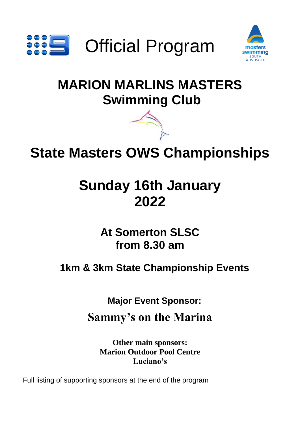



# **MARION MARLINS MASTERS Swimming Club**



# **State Masters OWS Championships**

# **Sunday 16th January 2022**

**At Somerton SLSC from 8.30 am**

**1km & 3km State Championship Events**

**Major Event Sponsor:**

**Sammy's on the Marina**

**Other main sponsors: Marion Outdoor Pool Centre Luciano's**

Full listing of supporting sponsors at the end of the program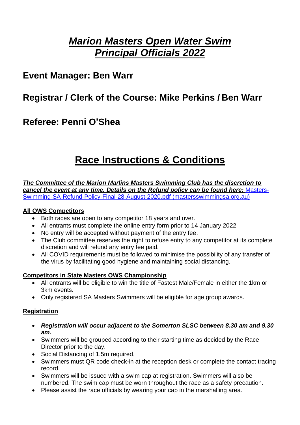# *Marion Masters Open Water Swim Principal Officials 2022*

# **Event Manager: Ben Warr**

# **Registrar / Clerk of the Course: Mike Perkins / Ben Warr**

# **Referee: Penni O'Shea**

# **Race Instructions & Conditions**

*The Committee of the Marion Marlins Masters Swimming Club has the discretion to cancel the event at any time. Details on the Refund policy can be found here:* [Masters-](https://mastersswimmingsa.org.au/wp-content/uploads/sites/12/2018/12/Masters-Swimming-SA-Refund-Policy-Final-28-August-2020.pdf)[Swimming-SA-Refund-Policy-Final-28-August-2020.pdf \(mastersswimmingsa.org.au\)](https://mastersswimmingsa.org.au/wp-content/uploads/sites/12/2018/12/Masters-Swimming-SA-Refund-Policy-Final-28-August-2020.pdf)

### **All OWS Competitors**

- Both races are open to any competitor 18 years and over.
- All entrants must complete the online entry form prior to 14 January 2022
- No entry will be accepted without payment of the entry fee.
- The Club committee reserves the right to refuse entry to any competitor at its complete discretion and will refund any entry fee paid.
- All COVID requirements must be followed to minimise the possibility of any transfer of the virus by facilitating good hygiene and maintaining social distancing.

### **Competitors in State Masters OWS Championship**

- All entrants will be eligible to win the title of Fastest Male/Female in either the 1km or 3km events.
- Only registered SA Masters Swimmers will be eligible for age group awards.

### **Registration**

- *Registration will occur adjacent to the Somerton SLSC between 8.30 am and 9.30 am.*
- Swimmers will be grouped according to their starting time as decided by the Race Director prior to the day.
- Social Distancing of 1.5m required,
- Swimmers must QR code check-in at the reception desk or complete the contact tracing record.
- Swimmers will be issued with a swim cap at registration. Swimmers will also be numbered. The swim cap must be worn throughout the race as a safety precaution.
- Please assist the race officials by wearing your cap in the marshalling area.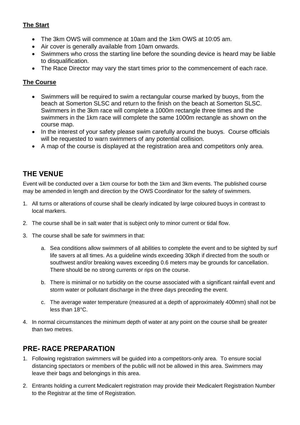## **The Start**

- The 3km OWS will commence at 10am and the 1km OWS at 10:05 am.
- Air cover is generally available from 10am onwards.
- Swimmers who cross the starting line before the sounding device is heard may be liable to disqualification.
- The Race Director may vary the start times prior to the commencement of each race.

## **The Course**

- Swimmers will be required to swim a rectangular course marked by buoys, from the beach at Somerton SLSC and return to the finish on the beach at Somerton SLSC. Swimmers in the 3km race will complete a 1000m rectangle three times and the swimmers in the 1km race will complete the same 1000m rectangle as shown on the course map.
- In the interest of your safety please swim carefully around the buoys. Course officials will be requested to warn swimmers of any potential collision.
- A map of the course is displayed at the registration area and competitors only area.

# **THE VENUE**

Event will be conducted over a 1km course for both the 1km and 3km events. The published course may be amended in length and direction by the OWS Coordinator for the safety of swimmers.

- 1. All turns or alterations of course shall be clearly indicated by large coloured buoys in contrast to local markers.
- 2. The course shall be in salt water that is subject only to minor current or tidal flow.
- 3. The course shall be safe for swimmers in that:
	- a. Sea conditions allow swimmers of all abilities to complete the event and to be sighted by surf life savers at all times. As a guideline winds exceeding 30kph if directed from the south or southwest and/or breaking waves exceeding 0.6 meters may be grounds for cancellation. There should be no strong currents or rips on the course.
	- b. There is minimal or no turbidity on the course associated with a significant rainfall event and storm water or pollutant discharge in the three days preceding the event.
	- c. The average water temperature (measured at a depth of approximately 400mm) shall not be less than 18°C.
- 4. In normal circumstances the minimum depth of water at any point on the course shall be greater than two metres.

# **PRE- RACE PREPARATION**

- 1. Following registration swimmers will be guided into a competitors-only area. To ensure social distancing spectators or members of the public will not be allowed in this area. Swimmers may leave their bags and belongings in this area.
- 2. Entrants holding a current Medicalert registration may provide their Medicalert Registration Number to the Registrar at the time of Registration.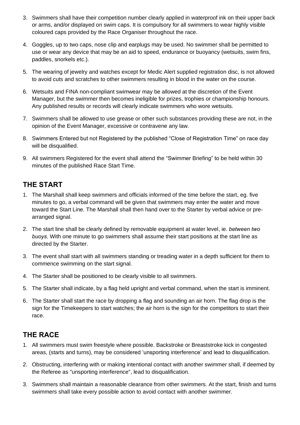- 3. Swimmers shall have their competition number clearly applied in waterproof ink on their upper back or arms, and/or displayed on swim caps. It is compulsory for all swimmers to wear highly visible coloured caps provided by the Race Organiser throughout the race.
- 4. Goggles, up to two caps, nose clip and earplugs may be used. No swimmer shall be permitted to use or wear any device that may be an aid to speed, endurance or buoyancy (wetsuits, swim fins, paddles, snorkels etc.).
- 5. The wearing of jewelry and watches except for Medic Alert supplied registration disc, is not allowed to avoid cuts and scratches to other swimmers resulting in blood in the water on the course.
- 6. Wetsuits and FINA non-compliant swimwear may be allowed at the discretion of the Event Manager, but the swimmer then becomes ineligible for prizes, trophies or championship honours. Any published results or records will clearly indicate swimmers who wore wetsuits.
- 7. Swimmers shall be allowed to use grease or other such substances providing these are not, in the opinion of the Event Manager, excessive or contravene any law.
- 8. Swimmers Entered but not Registered by the published "Close of Registration Time" on race day will be disqualified.
- 9. All swimmers Registered for the event shall attend the "Swimmer Briefing" to be held within 30 minutes of the published Race Start Time.

# **THE START**

- 1. The Marshall shall keep swimmers and officials informed of the time before the start, eg. five minutes to go, a verbal command will be given that swimmers may enter the water and move toward the Start Line. The Marshall shall then hand over to the Starter by verbal advice or prearranged signal.
- 2. The start line shall be clearly defined by removable equipment at water level, ie. *between two buoys.* With one minute to go swimmers shall assume their start positions at the start line as directed by the Starter.
- 3. The event shall start with all swimmers standing or treading water in a depth sufficient for them to commence swimming on the start signal.
- 4. The Starter shall be positioned to be clearly visible to all swimmers.
- 5. The Starter shall indicate, by a flag held upright and verbal command, when the start is imminent.
- 6. The Starter shall start the race by dropping a flag and sounding an air horn. The flag drop is the sign for the Timekeepers to start watches; the air horn is the sign for the competitors to start their race.

# **THE RACE**

- 1. All swimmers must swim freestyle where possible. Backstroke or Breaststroke kick in congested areas, (starts and turns), may be considered 'unsporting interference' and lead to disqualification.
- 2. Obstructing, interfering with or making intentional contact with another swimmer shall, if deemed by the Referee as "unsporting interference", lead to disqualification.
- 3. Swimmers shall maintain a reasonable clearance from other swimmers. At the start, finish and turns swimmers shall take every possible action to avoid contact with another swimmer.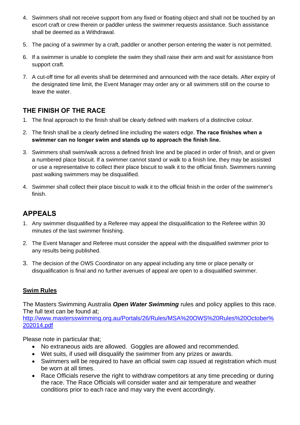- 4. Swimmers shall not receive support from any fixed or floating object and shall not be touched by an escort craft or crew therein or paddler unless the swimmer requests assistance. Such assistance shall be deemed as a Withdrawal.
- 5. The pacing of a swimmer by a craft, paddler or another person entering the water is not permitted.
- 6. If a swimmer is unable to complete the swim they shall raise their arm and wait for assistance from support craft.
- 7. A cut-off time for all events shall be determined and announced with the race details. After expiry of the designated time limit, the Event Manager may order any or all swimmers still on the course to leave the water.

# **THE FINISH OF THE RACE**

- 1. The final approach to the finish shall be clearly defined with markers of a distinctive colour.
- 2. The finish shall be a clearly defined line including the waters edge. **The race finishes when a swimmer can no longer swim and stands up to approach the finish line.**
- 3. Swimmers shall swim/walk across a defined finish line and be placed in order of finish, and or given a numbered place biscuit. If a swimmer cannot stand or walk to a finish line, they may be assisted or use a representative to collect their place biscuit to walk it to the official finish. Swimmers running past walking swimmers may be disqualified.
- 4. Swimmer shall collect their place biscuit to walk it to the official finish in the order of the swimmer's finish.

# **APPEALS**

- 1. Any swimmer disqualified by a Referee may appeal the disqualification to the Referee within 30 minutes of the last swimmer finishing.
- 2. The Event Manager and Referee must consider the appeal with the disqualified swimmer prior to any results being published.
- 3. The decision of the OWS Coordinator on any appeal including any time or place penalty or disqualification is final and no further avenues of appeal are open to a disqualified swimmer.

### **Swim Rules**

The Masters Swimming Australia *Open Water Swimming* rules and policy applies to this race. The full text can be found at;

[http://www.mastersswimming.org.au/Portals/26/Rules/MSA%20OWS%20Rules%20October%](http://www.mastersswimming.org.au/Portals/26/Rules/MSA%20OWS%20Rules%20October%202014.pdf) [202014.pdf](http://www.mastersswimming.org.au/Portals/26/Rules/MSA%20OWS%20Rules%20October%202014.pdf)

Please note in particular that;

- No extraneous aids are allowed. Goggles are allowed and recommended.
- Wet suits, if used will disqualify the swimmer from any prizes or awards.
- Swimmers will be required to have an official swim cap issued at registration which must be worn at all times.
- Race Officials reserve the right to withdraw competitors at any time preceding or during the race. The Race Officials will consider water and air temperature and weather conditions prior to each race and may vary the event accordingly.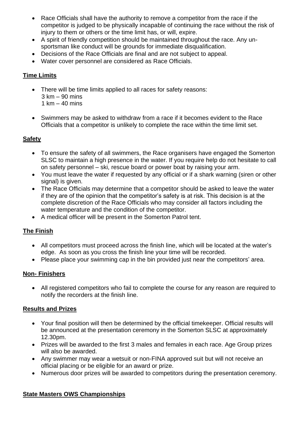- Race Officials shall have the authority to remove a competitor from the race if the competitor is judged to be physically incapable of continuing the race without the risk of injury to them or others or the time limit has, or will, expire.
- A spirit of friendly competition should be maintained throughout the race. Any unsportsman like conduct will be grounds for immediate disqualification.
- Decisions of the Race Officials are final and are not subject to appeal.
- Water cover personnel are considered as Race Officials.

## **Time Limits**

- There will be time limits applied to all races for safety reasons:
	- 3 km 90 mins
	- 1 km  $-$  40 mins
- Swimmers may be asked to withdraw from a race if it becomes evident to the Race Officials that a competitor is unlikely to complete the race within the time limit set.

## **Safety**

- To ensure the safety of all swimmers, the Race organisers have engaged the Somerton SLSC to maintain a high presence in the water. If you require help do not hesitate to call on safety personnel – ski, rescue board or power boat by raising your arm.
- You must leave the water if requested by any official or if a shark warning (siren or other signal) is given.
- The Race Officials may determine that a competitor should be asked to leave the water if they are of the opinion that the competitor's safety is at risk. This decision is at the complete discretion of the Race Officials who may consider all factors including the water temperature and the condition of the competitor.
- A medical officer will be present in the Somerton Patrol tent.

### **The Finish**

- All competitors must proceed across the finish line, which will be located at the water's edge. As soon as you cross the finish line your time will be recorded.
- Please place your swimming cap in the bin provided just near the competitors' area.

### **Non- Finishers**

• All registered competitors who fail to complete the course for any reason are required to notify the recorders at the finish line.

### **Results and Prizes**

- Your final position will then be determined by the official timekeeper. Official results will be announced at the presentation ceremony in the Somerton SLSC at approximately 12.30pm.
- Prizes will be awarded to the first 3 males and females in each race. Age Group prizes will also be awarded.
- Any swimmer may wear a wetsuit or non-FINA approved suit but will not receive an official placing or be eligible for an award or prize.
- Numerous door prizes will be awarded to competitors during the presentation ceremony.

### **State Masters OWS Championships**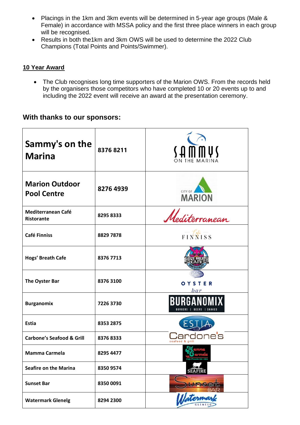- Placings in the 1km and 3km events will be determined in 5-year age groups (Male & Female) in accordance with MSSA policy and the first three place winners in each group will be recognised.
- Results in both the1km and 3km OWS will be used to determine the 2022 Club Champions (Total Points and Points/Swimmer).

## **10 Year Award**

• The Club recognises long time supporters of the Marion OWS. From the records held by the organisers those competitors who have completed 10 or 20 events up to and including the 2022 event will receive an award at the presentation ceremony.

## **With thanks to our sponsors:**

| Sammy's on the<br><b>Marina</b>             | 83768211  | $\sqrt{4}$ mm $\sqrt{2}$ |
|---------------------------------------------|-----------|--------------------------|
| <b>Marion Outdoor</b><br><b>Pool Centre</b> | 8276 4939 | CITY OF<br><b>MARION</b> |
| Mediterranean Café<br>Ristorante            | 8295 8333 | Mediterranean            |
| <b>Café Finniss</b>                         | 8829 7878 | FINNISS                  |
| Hogs' Breath Cafe                           | 8376 7713 |                          |
| The Oyster Bar                              | 8376 3100 | OYSTER<br>bar            |
| <b>Burganomix</b>                           | 7226 3730 |                          |
| <b>Estia</b>                                | 8353 2875 |                          |
| <b>Carbone's Seafood &amp; Grill</b>        | 83768333  | seafood &                |
| Mamma Carmela                               | 8295 4477 | Cafe Pizzeria Est. 1974  |
| <b>Seafire on the Marina</b>                | 8350 9574 | <b>SEAFIRE</b>           |
| <b>Sunset Bar</b>                           | 8350 0091 |                          |
| <b>Watermark Glenelg</b>                    | 8294 2300 | $H_{\rm atenna}$         |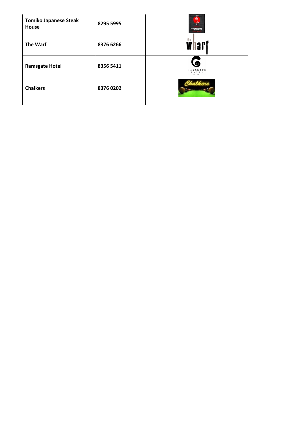| <b>Tomiko Japanese Steak</b><br>House | 8295 5995 | 富子<br><b>TOMIKO</b>                                  |
|---------------------------------------|-----------|------------------------------------------------------|
| The Warf                              | 8376 6266 | th e<br>Whart                                        |
| <b>Ramsgate Hotel</b>                 | 8356 5411 | 6<br><b>RAMSGATE</b><br>$0$ T E L<br><b>EST 1897</b> |
| <b>Chalkers</b>                       | 83760202  |                                                      |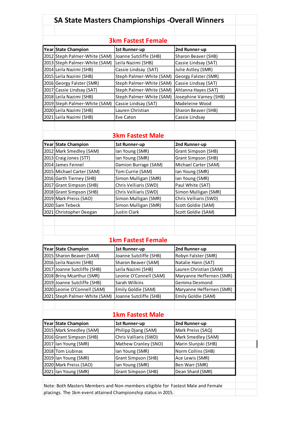|                           |                               | <b>SA State Masters Championships -Overall Winners</b>                          |                          |  |  |  |  |
|---------------------------|-------------------------------|---------------------------------------------------------------------------------|--------------------------|--|--|--|--|
|                           |                               |                                                                                 |                          |  |  |  |  |
| <b>3km Fastest Female</b> |                               |                                                                                 |                          |  |  |  |  |
|                           | Year State Champion           | 1st Runner-up                                                                   | 2nd Runner-up            |  |  |  |  |
|                           | 2012 Steph Palmer-White (SAM) | Joanne Sutcliffe (SHB)                                                          | Sharon Beaver (SHB)      |  |  |  |  |
|                           | 2013 Steph Palmer-White (SAM) | Leila Nazimi (SHB)                                                              | Cassie Lindsay (SAT)     |  |  |  |  |
|                           | 2014 Leila Nazimi (SHB)       | Cassie Lindsay (SAT)                                                            | Julie Astley (SMR)       |  |  |  |  |
|                           | 2015 Leila Nazimi (SHB)       | Steph Palmer-White (SAM)                                                        | Georgy Falster (SMR)     |  |  |  |  |
|                           | 2016 Georgy Falster (SMR)     | Steph Palmer-White (SAM)                                                        | Cassie Lindsay (SAT)     |  |  |  |  |
|                           | 2017 Cassie Lindsay (SAT)     | Steph Palmer-White (SAM)                                                        | Ahlanna Hayes (SAT)      |  |  |  |  |
|                           | 2018 Leila Nazimi (SHB)       | Steph Palmer-White (SAM)                                                        | Josephine Varney (SHB)   |  |  |  |  |
|                           | 2019 Steph Palmer-White (SAM) | Cassie Lindsay (SAT)                                                            | Madeleine Wood           |  |  |  |  |
|                           | 2020 Leila Nazimi (SHB)       | Lauren Christian                                                                | Sharon Beaver (SHB)      |  |  |  |  |
|                           | 2021 Leila Nazimi (SHB)       | Eve Caton                                                                       | Cassie Lindsay           |  |  |  |  |
|                           |                               |                                                                                 |                          |  |  |  |  |
|                           |                               | <b>3km Fastest Male</b>                                                         |                          |  |  |  |  |
|                           | Year State Champion           | 1st Runner-up                                                                   | 2nd Runner-up            |  |  |  |  |
|                           | 2012 Mark Smedley (SAM)       | Ian Young (SMR)                                                                 | Grant Simpson (SHB)      |  |  |  |  |
|                           | 2013 Craig Jones (STT)        | Ian Young (SMR)                                                                 | Grant Simpson (SHB)      |  |  |  |  |
|                           | 2014 James Fennel             | Damion Burrage (SAM)                                                            | Michael Carter (SAM)     |  |  |  |  |
|                           | 2015   Michael Carter (SAM)   | Tom Currie (SAM)                                                                | Ian Young (SMR)          |  |  |  |  |
|                           | 2016 Garth Tierney (SHB)      | Simon Mulligan (SMR)                                                            | Ian Young (SMR)          |  |  |  |  |
|                           | 2017 Grant Simpson (SHB)      | Chris Velliaris (SWD)                                                           | Paul White (SAT)         |  |  |  |  |
|                           | 2018 Grant Simpson (SHB)      | Chris Velliaris (SWD)                                                           | Simon Mulligan (SMR)     |  |  |  |  |
|                           | 2019 Mark Preiss (SAO)        | Simon Mulligan (SMR)                                                            | Chris Velliaris (SWD)    |  |  |  |  |
|                           | 2020 Sam Tebeck               | Simon Mulligan (SMR)                                                            | Scott Goldie (SAM)       |  |  |  |  |
|                           | 2021 Christopher Deegan       | <b>Justin Clark</b>                                                             | Scott Goldie (SAM)       |  |  |  |  |
|                           |                               |                                                                                 |                          |  |  |  |  |
|                           |                               |                                                                                 |                          |  |  |  |  |
|                           |                               | <b>1km Fastest Female</b>                                                       |                          |  |  |  |  |
|                           | Year State Champion           | 1st Runner-up                                                                   | 2nd Runner-up            |  |  |  |  |
|                           | 2015 Sharon Beaver (SAM)      | Joanne Sutcliffe (SHB)                                                          | Robyn Falster (SMR)      |  |  |  |  |
|                           | 2016 Leila Nazimi (SHB)       | Sharon Beaver (SAM)                                                             | Natalie Hann (SAT)       |  |  |  |  |
|                           | 2017 Joanne Sutcliffe (SHB)   | Leila Nazimi (SHB)                                                              | Lauren Christian (SAM)   |  |  |  |  |
|                           | 2018 Briny Mcarthur (SMR)     | Leonie O'Connell (SAM)                                                          | Maryanne Heffernen (SMR) |  |  |  |  |
|                           | 2019 Joanne Sutcliffe (SHB)   | Sarah Wilkins                                                                   | Gemma Desmond            |  |  |  |  |
|                           | 2020 Leonie O'Connell (SAM)   | Emily Goldie (SAM)                                                              | Maryanne Heffernen (SMR) |  |  |  |  |
|                           | 2021 Steph Palmer-White (SAM) | Joanne Sutcliffe (SHB)                                                          | Emily Goldie (SAM)       |  |  |  |  |
|                           |                               |                                                                                 |                          |  |  |  |  |
|                           |                               | <b>1km Fastest Male</b>                                                         |                          |  |  |  |  |
|                           | Year State Champion           | 1st Runner-up                                                                   | 2nd Runner-up            |  |  |  |  |
|                           | 2015 Mark Smedley (SAM)       | Philipp Djang (SAM)                                                             | Mark Preiss (SAQ)        |  |  |  |  |
|                           | 2016 Grant Simpson (SHB)      | Chris Valliaris (SWD)                                                           | Mark Smedley (SAM)       |  |  |  |  |
|                           | 2017 lan Young (SMR)          | Mathew Cranley (SNO)                                                            | Marin Slunjski (SHB)     |  |  |  |  |
|                           | 2018 Tom Liubinas             | Ian Young (SMR)                                                                 | Norm Collins (SHB)       |  |  |  |  |
|                           | 2019 Ian Young (SMR)          | Grant Simpson (SHB)                                                             | Ace Lewis (SMR)          |  |  |  |  |
|                           | 2020 Mark Preiss (SAO)        | Ian Young (SMR)                                                                 | Ben Warr (SMR)           |  |  |  |  |
|                           | 2021 lan Young (SMR)          | Grant Simpson (SHB)                                                             | Dean Shard (SMR)         |  |  |  |  |
|                           |                               |                                                                                 |                          |  |  |  |  |
|                           |                               | Note: Both Masters Members and Non-members eligible for Fastest Male and Female |                          |  |  |  |  |
|                           |                               | placings. The 1km event attained Championship status in 2015.                   |                          |  |  |  |  |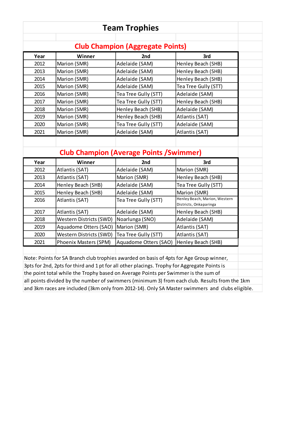|              |                                                                                              | <b>Team Trophies</b>                            |                                                                                               |  |
|--------------|----------------------------------------------------------------------------------------------|-------------------------------------------------|-----------------------------------------------------------------------------------------------|--|
|              |                                                                                              | <b>Club Champion (Aggregate Points)</b>         |                                                                                               |  |
| Year         | Winner                                                                                       | 2nd                                             | 3rd                                                                                           |  |
| 2012         | Marion (SMR)                                                                                 | Adelaide (SAM)                                  | Henley Beach (SHB)                                                                            |  |
| 2013         | Marion (SMR)                                                                                 | Adelaide (SAM)                                  | Henley Beach (SHB)                                                                            |  |
| 2014         | Marion (SMR)                                                                                 | Adelaide (SAM)                                  | Henley Beach (SHB)                                                                            |  |
| 2015         | Marion (SMR)                                                                                 | Adelaide (SAM)                                  | Tea Tree Gully (STT)                                                                          |  |
| 2016         | Marion (SMR)                                                                                 | Tea Tree Gully (STT)                            | Adelaide (SAM)                                                                                |  |
| 2017         | Marion (SMR)                                                                                 | Tea Tree Gully (STT)                            | Henley Beach (SHB)                                                                            |  |
| 2018         | Marion (SMR)                                                                                 | Henley Beach (SHB)                              | Adelaide (SAM)                                                                                |  |
| 2019         | Marion (SMR)                                                                                 | Henley Beach (SHB)                              | Atlantis (SAT)                                                                                |  |
| 2020         | Marion (SMR)                                                                                 | Tea Tree Gully (STT)                            | Adelaide (SAM)                                                                                |  |
| 2021         | Marion (SMR)                                                                                 | Adelaide (SAM)                                  | Atlantis (SAT)                                                                                |  |
|              |                                                                                              |                                                 |                                                                                               |  |
|              |                                                                                              | <b>Club Champion (Average Points / Swimmer)</b> |                                                                                               |  |
|              |                                                                                              |                                                 |                                                                                               |  |
| Year<br>2012 | Winner                                                                                       | 2nd                                             | 3rd<br>Marion (SMR)                                                                           |  |
|              |                                                                                              | Adelaide (SAM)                                  |                                                                                               |  |
|              | Atlantis (SAT)                                                                               |                                                 |                                                                                               |  |
| 2013         | Atlantis (SAT)                                                                               | Marion (SMR)                                    | Henley Beach (SHB)                                                                            |  |
| 2014         | Henley Beach (SHB)                                                                           | Adelaide (SAM)                                  | Tea Tree Gully (STT)                                                                          |  |
| 2015         | Henley Beach (SHB)                                                                           | Adelaide (SAM)                                  | Marion (SMR)                                                                                  |  |
| 2016         | Atlantis (SAT)                                                                               | Tea Tree Gully (STT)                            | Henley Beach, Marion, Western<br>Districts, Onkaparinga                                       |  |
| 2017         | Atlantis (SAT)                                                                               | Adelaide (SAM)                                  | Henley Beach (SHB)                                                                            |  |
| 2018         | Western Districts (SWD)                                                                      | Noarlunga (SNO)                                 | Adelaide (SAM)                                                                                |  |
| 2019         | Aquadome Otters (SAO)                                                                        | Marion (SMR)                                    | Atlantis (SAT)                                                                                |  |
| 2020         | <b>Western Districts (SWD)</b>                                                               | Tea Tree Gully (STT)                            | Atlantis (SAT)                                                                                |  |
| 2021         | Phoenix Masters (SPM)                                                                        | Aquadome Otters (SAO)                           | Henley Beach (SHB)                                                                            |  |
|              |                                                                                              |                                                 |                                                                                               |  |
|              | Note: Points for SA Branch club trophies awarded on basis of 4pts for Age Group winner,      |                                                 |                                                                                               |  |
|              | 3pts for 2nd, 2pts for third and 1 pt for all other placings. Trophy for Aggregate Points is |                                                 |                                                                                               |  |
|              | the point total while the Trophy based on Average Points per Swimmer is the sum of           |                                                 |                                                                                               |  |
|              |                                                                                              |                                                 | all points divided by the number of swimmers (minimum 3) from each club. Results from the 1km |  |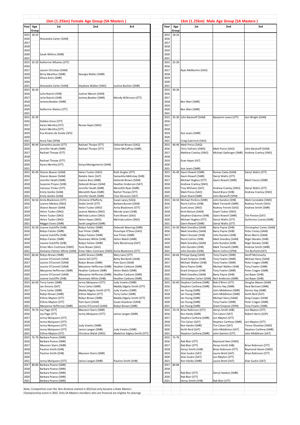|              |       |                                                                                                                                                                                            | 1km (1.25km) Female Age Group (SA Masters) |                             |              |           | 1km (1.25km) Male Age Group (SA Masters) |                                          |                                           |
|--------------|-------|--------------------------------------------------------------------------------------------------------------------------------------------------------------------------------------------|--------------------------------------------|-----------------------------|--------------|-----------|------------------------------------------|------------------------------------------|-------------------------------------------|
| Year         | Age   | 1st                                                                                                                                                                                        | 2nd                                        | 3rd                         | Year         | Age       | 1st                                      | 2nd                                      | 3rd                                       |
|              | Group |                                                                                                                                                                                            |                                            |                             |              | Group     |                                          |                                          |                                           |
| 2015         | 18-24 |                                                                                                                                                                                            |                                            |                             | 2015         | 18-24     |                                          |                                          |                                           |
| 2016         |       | Alexandra Carter (SAM)                                                                                                                                                                     |                                            |                             | 2016         |           |                                          |                                          |                                           |
| 2017         |       |                                                                                                                                                                                            |                                            |                             | 2017         |           |                                          |                                          |                                           |
| 2018<br>2019 |       |                                                                                                                                                                                            |                                            |                             | 2018<br>2019 |           |                                          |                                          |                                           |
| 2020         |       | Sarah Wilkins (SMR)                                                                                                                                                                        |                                            |                             | 2020         |           |                                          |                                          |                                           |
| 2021         |       |                                                                                                                                                                                            |                                            |                             | 2021         |           |                                          |                                          |                                           |
| 2015         | 25-29 | Katherine Whaites (STT)                                                                                                                                                                    |                                            |                             | 2015         | $25 - 29$ |                                          |                                          |                                           |
| 2016         |       |                                                                                                                                                                                            |                                            |                             | 2016         |           |                                          |                                          |                                           |
| 2017         |       | Lauren Christian (SAM)                                                                                                                                                                     |                                            |                             | 2017         |           | Ryan McMurtrie (SAO)                     |                                          |                                           |
| 2018         |       | Briny Mcarthur (SMR)                                                                                                                                                                       | Georgia Walter (SMR)                       |                             | 2018         |           |                                          |                                          |                                           |
| 2019         |       | Dhara Amin (SMR)                                                                                                                                                                           |                                            |                             | 2019         |           |                                          |                                          |                                           |
| 2020         |       |                                                                                                                                                                                            |                                            |                             | 2020         |           |                                          |                                          |                                           |
| 2021         |       | Alexandra Carter (SAM)                                                                                                                                                                     | Stephaie Walker (SNO)                      | Iustine Buchler (SMR)       | 2021         |           |                                          |                                          |                                           |
| 2015         | 30-34 |                                                                                                                                                                                            |                                            |                             | 2015         | $30 - 34$ |                                          |                                          |                                           |
| 2016         |       | Leila Nazimi (SHB)                                                                                                                                                                         | Justine Marum (SAM)                        |                             | 2016         |           |                                          |                                          |                                           |
| 2017         |       | Leila Nazimi (SHB)                                                                                                                                                                         | Jemma Bowker (SMR)                         | Wendy Wilkinson (STT)       | 2017         |           |                                          |                                          |                                           |
| 2018         |       | Jemma Bowker (SMR)                                                                                                                                                                         |                                            |                             | 2018         |           | Ben Warr (SMR)                           |                                          |                                           |
| 2019         |       |                                                                                                                                                                                            |                                            |                             | 2019         |           |                                          |                                          |                                           |
| 2020         |       | Katherine Waites (STT)                                                                                                                                                                     |                                            |                             | 2020         |           | Ben Warr (SMR)                           |                                          |                                           |
| 2021         |       |                                                                                                                                                                                            |                                            |                             | 2021         |           |                                          |                                          |                                           |
| 2015         | 35-39 |                                                                                                                                                                                            |                                            |                             | 2015         | 35-39     | John Baranoff (SAM)                      | Banjamin Lewis (STT)                     | lain Wright (SAM)                         |
| 2016         |       | Debbie Gross (STT)                                                                                                                                                                         |                                            |                             | 2016         |           |                                          |                                          |                                           |
| 2017         |       | Karen Mentha (STT)                                                                                                                                                                         | Renae Hajek (SNO)                          |                             | 2017         |           |                                          |                                          |                                           |
| 2018         |       | Karen Mentha (STT)                                                                                                                                                                         |                                            |                             | 2018         |           |                                          |                                          |                                           |
| 2019         |       | Eva Alvarez de Eulate (SPS)                                                                                                                                                                |                                            |                             | 2019         |           | Ace Lewis (SMR)                          |                                          |                                           |
| 2020         |       |                                                                                                                                                                                            |                                            |                             | 2020         |           |                                          |                                          |                                           |
| 2021         |       | Anna Tate (SPM)                                                                                                                                                                            |                                            |                             | 2021         |           | Craig Zubrinich (SAO)                    |                                          |                                           |
| 2015         | 40-44 | Samantha Jacobs (STT)                                                                                                                                                                      | Rachael Thorpe (STT)                       | Deborah Brown (SAQ)         | 2015         | 40-44     | Mark Preiss (SAQ)                        |                                          |                                           |
| 2016         |       | Jennifer Heath (SMR)                                                                                                                                                                       | Rachael Thorpe (STT)                       | Claire McCaffrey (SMR)      | 2016         |           | Chris Valliaris (SWD)                    | Mark Preiss (SAO)                        | John Baranoff (SAM)                       |
| 2017         |       | Rachael Thorpe (STT)                                                                                                                                                                       |                                            |                             | 2017         |           | Mathew Cranley (SNO)                     | Michael Gaibinger (SMR)                  | Andrew Cranley (SNO)                      |
| 2018         |       |                                                                                                                                                                                            |                                            |                             | 2018         |           |                                          |                                          |                                           |
| 2019         |       | Rachael Thorpe (STT)                                                                                                                                                                       |                                            |                             | 2019         |           | Evan Hayes SAT)                          |                                          |                                           |
| 2020         |       | Karen Mentha (STT)                                                                                                                                                                         | Sonya Montgomerie (SAM)                    |                             | 2020         |           |                                          |                                          |                                           |
| 2021         |       |                                                                                                                                                                                            |                                            |                             | 2021         |           | Ace Lewis (SMR)                          |                                          |                                           |
| 2015         | 45-49 | Sharon Beaver (SAM)                                                                                                                                                                        | Helen Tucker (SNO)                         | Ruth Zeigler (STT)          | 2015         | 45-49     | Gavin Rowell (SMR)                       | Roman Zaika (SAM)                        | Darryl Wallis (STT)                       |
| 2016         |       | Sharon Beaver (SAM)                                                                                                                                                                        | Natalie Hann (SAT)                         | Samantha McKinlay (SHB)     | 2016         |           | Gavin Rowell (SMR)                       | Darryl Wallis (STT)                      |                                           |
| 2017         |       | Jennifer Heath (SMR)                                                                                                                                                                       | Joanne Bros (SMR)                          | Deborah Brown (SAM)         | 2017         |           | Michael Hughes (STT)                     | Gavin Rowell (SMR)                       | Mark Francis (SMR)                        |
| 2018         |       | Suzanne Pinyon (SHB)                                                                                                                                                                       | Deborah Brown (SAM)                        | Heather Anderson (SAT)      | 2018         |           | Andrew Cranley (SNO)                     |                                          |                                           |
| 2019         |       | Vanessa Tricker (STT)                                                                                                                                                                      | Jennifer Heath (SMR)                       | Meredith Ryan (SMR)         | 2019         |           | Troy Williams (SAT)                      | Andrew Cranley (SNO)                     | Darryl Wallis (STT)                       |
| 2020         |       | Emily Goldie (SAM)                                                                                                                                                                         | Meredith Ryan (SMR)                        | Rachel Thorpe (STT)         | 2020         |           | Mark Preiss (SAO)                        | David Bryce (SHB)                        | Andrew Cranley (SNO)                      |
| 2021         |       | Emily Goldie (SAM)                                                                                                                                                                         | Jennifer Heath (SMR)                       | Cloe Steveson (SAT)         | 2021         |           | Dean Shard (SMR)                         | Iohn Baranoff (SPM)                      |                                           |
| 2015         | 50-54 | Anita Blackmore (STT)                                                                                                                                                                      | Chimene O'Rafferty                         | Susan Lacey (SAQ)           | 2015         | 50-54     | Michael Perkins (SMR)                    | John Dundon (SHB)                        | Mark Constable (SWD)                      |
| 2016         |       | Leanne Markey (SNO)                                                                                                                                                                        | Dodie Smith (STT)                          | Barbara Burnet (SAM)        | 2016         |           | Norm Collins (SHB)                       | Mark Trenwith (SMR)                      | Rodney French (SAO)                       |
| 2017         |       | Sharon Beaver (SAM)                                                                                                                                                                        | Helen Tucker (SNO)                         | Anita Blackmore (STT)       | 2017         |           | Scott Jones (SNO)                        | Rodney French (SAO)                      | Andrew Smith (SMR)                        |
| 2018         |       | Helen Tucker (SNO)                                                                                                                                                                         | Leanne Markey (SNO)                        | Wendy Lewis (SHB)           | 2018         |           | Kent Nelson (SAM)                        | Grant Tucker (SNO)                       |                                           |
| 2019         |       | Helen Tucker (SNO)                                                                                                                                                                         | Melinda Lutton (SNO)                       | Yumi Brown (SAO)            | 2019         |           | Stephen Osborne (SHB)                    | Gavin Rowell (SMR)                       | Tim Pexton (SAT)                          |
| 2020         |       | Helen Tucker (SNO)                                                                                                                                                                         | Helen Hayes (SNO)                          | Melinda Lutton (SNO)        | 2020         |           | Michael Hughes (STT)                     | Darryl Wallis (STT)                      | Guillermo Cuesta (SMR)                    |
| 2021         |       | Maggie Evans (SMR)                                                                                                                                                                         | Sarah Langsford (SMR)                      |                             | 2021         |           | Gavin Rowell (SMR)                       | Darryl Wallis (STT)                      |                                           |
| 2015         | 55-59 | Joanne Sutcliffe (SHB)                                                                                                                                                                     | Robyn Falster (SMR)                        | Deborah Waering (SMR)       | 2015         | 55-59     | Mark Smedley (SAM)                       | Barry Payne (SHB)                        | Christopher Carter (SAM)                  |
| 2016         |       | Robyn Falster (SMR)                                                                                                                                                                        | Sue Filmer (SMR)                           | Penelope O'Shea (SAO)       | 2016         |           | Mark Smedley (SAM)                       | Barry Payne (SHB)                        | Peter Cleary (SAM)                        |
| 2017         |       | Joanne Sutcliffe (SHB)                                                                                                                                                                     | Robyn Falster (SMR)                        | Sue Filmer (SMR)            | 2017         |           | Marin Slunjski (SHB)                     | John Dundon (SHB)                        | Brian Morris (SAM)                        |
| 2018         |       | Robyn Falster (SMR)                                                                                                                                                                        | Rosemary White (SHB)                       | Helen Walsh (SMR)           | 2018         |           | Norm Collins (SHB)                       | Mark Smedley (SAM)                       | Nigel Skeates (SHB)                       |
| 2019<br>2020 |       | Joanne Sutcliffe (SHB)<br>Eimer Muir-Cochrane (SWD)                                                                                                                                        | Robyn Falster (SMR)<br>Yumi Brown (SAO)    | Sally Blenkinsop (SAT)      | 2019<br>2020 |           | Mark Smedley (SAM)<br>John Dundon (SHB)  | John Dundon (SHB)<br>Mark Trenwith (SMR) | Nigel Skeates (SHB)<br>Andrew Smith (SMR) |
| 2021         |       | Stehanie Palmer-White (SAM)                                                                                                                                                                | Eimer Muir-Cochrane (SWD)                  | Anita Blackmore (STT)       | 2021         |           | John Dundon (SHB)                        | Norm Collins (SPM)                       | Tim Burfield (SAT)                        |
| 2015         | 60-64 | Robyn Brown (SMR)                                                                                                                                                                          | Judith Groves (SMR)                        | Mary Lane (STT)             | 2015         | 60-64     | Philipp Djang (SAM)                      | <b>Tony Fowler (SMR)</b>                 | Geoff McConachy                           |
| 2016         |       | Leonie O'Connell (SAM)                                                                                                                                                                     | Janice Gill (STT)                          | Betty Reinboth (SAM)        | 2016         |           | Grant Simpson (SHB)                      | Tony Fowler (SMR)                        | Michael Harry (SAM)                       |
| 2017         |       | Leonie O'Connell (SAM)                                                                                                                                                                     | Robyn Brown (SMR)                          | Pam Gunn (SAM)              | 2017         |           | Michael Walker (SHB)                     | Tony Fowler (SMR)                        | Peter Cragen (SMR)                        |
| 2018         |       | Leonie O'Connell (SAM)                                                                                                                                                                     | Maryanne Heffernan (SMR)                   | Heather Carbone (SMR)       | 2018         |           | Barry Payne (SHB)                        | Michael Walker (SHB)                     | Tony Fowler (SMR)                         |
| 2019         |       | Maryanne Heffernan (SMR)                                                                                                                                                                   | Heather Carbone (SMR)                      | Helen Walsh (SMR)           | 2019         |           | Grant Simpson (SHB)                      | Tony Fowler (SMR)                        | Peter Cragen (SMR)                        |
| 2020         |       | Leonie O'Connell (SAM)                                                                                                                                                                     | Maryanne Heffernan (SMR)                   | Heather Carbone (SMR)       | 2020         |           | Mark Smedley (SAM)                       | Barry Payne (SHB)                        | Joe Bayer (SHB)                           |
| 2021         |       | Joanne Sutcliffe (SHB)                                                                                                                                                                     | Rosemary White (SHB)                       | Heather Carbone (SMR)       | 2021         |           | Christopher Carter (SAM)                 | Neil Anderson (SMR)                      | Joe Bayer (SHB)                           |
| 2015         | 65-69 | Terry Carter (SMR)                                                                                                                                                                         | Jenny Mulqueen (STT)                       | Judy Vowles (SMR)           | 2015         | 65-69     | Stephen Carthew (SMR)                    | Bob O'Brien (STT)                        | Douglas Mason (SAM)                       |
| 2016         |       | Jan Simons (SAT)                                                                                                                                                                           | Terry Carter (SMR)                         | Maddy Edgely-Smith (STT)    | 2016         |           | Stephen Carthew (SMR)                    | Dennis Hay (SMR)                         | Neal Bertram (SMR)                        |
| 2017         |       | Terry Carter (SMR)                                                                                                                                                                         | Maddy Edgely-Smith (STT)                   | Judy Vowles (SMR)           | 2017         |           | Ian Young (SMR)                          | John Middleton (SMR)                     | Dennis Hay (SMR)                          |
| 2018         |       | Robyn Brown (SMR)                                                                                                                                                                          | Eithne Mayton (STT)                        | Terry Carter (SMR)          | 2018         |           | Ian Young (SMR)                          | John Middleton (SMR)                     | Keith Reid (SAT)                          |
| 2019         |       | Eithne Mayton (STT)                                                                                                                                                                        | Robyn Brown (SMR)                          | Maddy Edgely-Smith (STT)    | 2019         |           | Ian Young (SMR)                          | Michael Harry (SAM)                      | Greg Cooper (SAM)                         |
| 2020         |       | Eithne Mayton (STT)                                                                                                                                                                        | Pam Gunn (SAM)                             | Susan Graebner (SAM)        | 2020         |           | Ian Young (SMR)                          | Tony Fowler (SMR)                        | Peter Cragen (SMR)                        |
| 2021         |       | Maryanne Heffernan (SMR)                                                                                                                                                                   | Leonie O'Connell (SAM)                     | Robyn Brown (SMR)           | 2021         |           | Ian Young (SMR)                          | Grant Simpson (SPM)                      | Tony Fowler (SMR)                         |
| 2015         | 70-74 | Joy Page (STT)                                                                                                                                                                             | Maureen Starrs (SMR)                       |                             | 2015         | 70-74     | Brian Robinson (STT)                     | Denys Smith SHB)                         | Len Mayton (STT)                          |
| 2016         |       | Joy Page (STT)                                                                                                                                                                             | Jenny Mulqueen (STT)                       | Janice Langan (SMR)         | 2016         |           | Ron Hardy (SMR)                          | Tim Calver (SAT)                         | Robert Harris (SOP)                       |
| 2017         |       | Jenny Mulqueen (STT)                                                                                                                                                                       |                                            |                             | 2017         |           | Stephen Carthew (SMR)                    | Len Mayton (STT)                         |                                           |
| 2018         |       | Jenny Mulqueen (STT)                                                                                                                                                                       |                                            |                             | 2018         |           | Tim Calver (SAT)                         | Stephen Carthew (SMR)                    | Len Mayton (STT)                          |
| 2019         |       | Jenny Mulqueen (STT)                                                                                                                                                                       | Judy Vowles (SMR)                          |                             | 2019         |           | Ron Hardie (SMR)                         | Tim Calver (SAT)                         | Trevor Sheehan (SWD)                      |
| 2020         |       | Jenny Mulqueen (STT)                                                                                                                                                                       | Janice Langan (SMR)                        | Judy Vowles (SMR)           | 2020         |           | Keith Reid (SAT)                         | John Middleton (SAT)                     | Stephen Carthew (SMR)                     |
| 2021         |       | Eithne Mayton (STT)                                                                                                                                                                        | Christine Walsh (SNO)                      | Madeline Edgley-Smith (STT) | 2021         |           | Stephen Carthew (SMR)                    | John Gamlen (STT)                        | John Middleton (SAT)                      |
| 2015         | 75-79 | Barbara Pearce (SMR)                                                                                                                                                                       |                                            |                             | 2015         | 75-79     |                                          |                                          |                                           |
| 2016         |       | Barbara Pearce (SMR)                                                                                                                                                                       |                                            |                             | 2016         |           | Rab Blair (STT)                          | Raymond Ham (SWD)                        |                                           |
| 2017         |       | Maureen Starrs (SMR)                                                                                                                                                                       |                                            |                             | 2017         |           | Rab Blair (STT)                          | Denys Smith SHB)                         | Brian Robinson (STT)                      |
| 2018         |       | Pauline Smith (SHB)                                                                                                                                                                        |                                            |                             | 2018         |           | Denys Smith (SHB)                        | Brian Robinson (STT)                     | Raymond Hamm (SWD)                        |
| 2019         |       | Pauline Smith (SHB)                                                                                                                                                                        | Maureen Starrs (SMR)                       |                             | 2019         |           | Alan Suskin (SAT)                        | Laurie Brett (SAT)                       | Brian Robinson (STT)                      |
| 2020         |       |                                                                                                                                                                                            |                                            |                             | 2020         |           | Alan Suskin (SAT)                        | Len Mayton (STT)                         |                                           |
| 2021         |       | Jenny Mulqueen (STT)                                                                                                                                                                       | Janice Langan (SMR)                        | Pauline Smith (SHB)         | 2021         |           | Ron Hardie (SMR)                         | Laurie Brett (SAT)                       | Alan Suskin (SAT)                         |
| 2017         | 80-84 | Barbara Pearce (SMR)                                                                                                                                                                       |                                            |                             | 2017         | 80-84     |                                          |                                          |                                           |
| 2018         |       | Barbara Pearce (SMR)                                                                                                                                                                       |                                            |                             | 2018         |           |                                          |                                          |                                           |
| 2019         |       | Barbara Pearce (SMR)                                                                                                                                                                       |                                            |                             | 2019         |           | Rab Blair (STT)                          | Darryl Hawkes (SMR)                      |                                           |
| 2020         |       | Barbara Pearce (SMR)                                                                                                                                                                       |                                            |                             | 2020         |           | Rab Blair (STT)                          |                                          |                                           |
| 2021         |       | Barbara Pearce (SMR)                                                                                                                                                                       |                                            |                             | 2021         |           | Denys Smith (SHB)                        | Rab Blair (STT)                          |                                           |
|              |       |                                                                                                                                                                                            |                                            |                             |              |           |                                          |                                          |                                           |
|              |       | Note: Competition over the 1km distance started in 2012 but only became a State Masters<br>Championship event in 2015. Only SA Masters members who are financial are eligible for placings |                                            |                             |              |           |                                          |                                          |                                           |